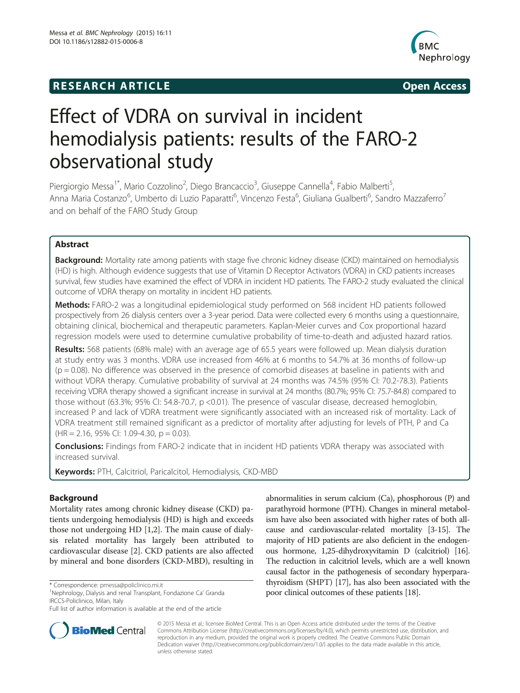## **RESEARCH ARTICLE Example 2014 The SEAR CH ACCESS**



# Effect of VDRA on survival in incident hemodialysis patients: results of the FARO-2 observational study

Piergiorgio Messa<sup>1\*</sup>, Mario Cozzolino<sup>2</sup>, Diego Brancaccio<sup>3</sup>, Giuseppe Cannella<sup>4</sup>, Fabio Malberti<sup>5</sup> , Anna Maria Costanzo<sup>6</sup>, Umberto di Luzio Paparatti<sup>6</sup>, Vincenzo Festa<sup>6</sup>, Giuliana Gualberti<sup>6</sup>, Sandro Mazzaferro<sup>7</sup> and on behalf of the FARO Study Group

## Abstract

Background: Mortality rate among patients with stage five chronic kidney disease (CKD) maintained on hemodialysis (HD) is high. Although evidence suggests that use of Vitamin D Receptor Activators (VDRA) in CKD patients increases survival, few studies have examined the effect of VDRA in incident HD patients. The FARO-2 study evaluated the clinical outcome of VDRA therapy on mortality in incident HD patients.

Methods: FARO-2 was a longitudinal epidemiological study performed on 568 incident HD patients followed prospectively from 26 dialysis centers over a 3-year period. Data were collected every 6 months using a questionnaire, obtaining clinical, biochemical and therapeutic parameters. Kaplan-Meier curves and Cox proportional hazard regression models were used to determine cumulative probability of time-to-death and adjusted hazard ratios.

Results: 568 patients (68% male) with an average age of 65.5 years were followed up. Mean dialysis duration at study entry was 3 months. VDRA use increased from 46% at 6 months to 54.7% at 36 months of follow-up  $(p = 0.08)$ . No difference was observed in the presence of comorbid diseases at baseline in patients with and without VDRA therapy. Cumulative probability of survival at 24 months was 74.5% (95% CI: 70.2-78.3). Patients receiving VDRA therapy showed a significant increase in survival at 24 months (80.7%; 95% CI: 75.7-84.8) compared to those without (63.3%; 95% CI: 54.8-70.7, p <0.01). The presence of vascular disease, decreased hemoglobin, increased P and lack of VDRA treatment were significantly associated with an increased risk of mortality. Lack of VDRA treatment still remained significant as a predictor of mortality after adjusting for levels of PTH, P and Ca  $(HR = 2.16, 95\%$  CI: 1.09-4.30,  $p = 0.03$ ).

**Conclusions:** Findings from FARO-2 indicate that in incident HD patients VDRA therapy was associated with increased survival.

Keywords: PTH, Calcitriol, Paricalcitol, Hemodialysis, CKD-MBD

## Background

Mortality rates among chronic kidney disease (CKD) patients undergoing hemodialysis (HD) is high and exceeds those not undergoing HD [[1](#page-6-0),[2\]](#page-6-0). The main cause of dialysis related mortality has largely been attributed to cardiovascular disease [[2\]](#page-6-0). CKD patients are also affected by mineral and bone disorders (CKD-MBD), resulting in

**BioMed Central** 

<sup>1</sup>Nephrology, Dialysis and renal Transplant, Fondazione Ca' Granda IRCCS-Policlinico, Milan, Italy



© 2015 Messa et al.; licensee BioMed Central. This is an Open Access article distributed under the terms of the Creative Commons Attribution License [\(http://creativecommons.org/licenses/by/4.0\)](http://creativecommons.org/licenses/by/4.0), which permits unrestricted use, distribution, and reproduction in any medium, provided the original work is properly credited. The Creative Commons Public Domain Dedication waiver [\(http://creativecommons.org/publicdomain/zero/1.0/](http://creativecommons.org/publicdomain/zero/1.0/)) applies to the data made available in this article, unless otherwise stated.

<sup>\*</sup> Correspondence: [pmessa@policlinico.mi.it](mailto:pmessa@policlinico.mi.it) <sup>1</sup>

Full list of author information is available at the end of the article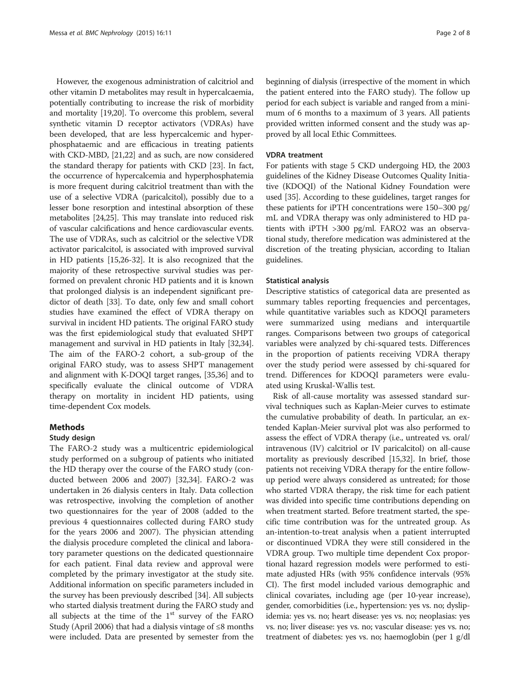However, the exogenous administration of calcitriol and other vitamin D metabolites may result in hypercalcaemia, potentially contributing to increase the risk of morbidity and mortality [\[19,20](#page-7-0)]. To overcome this problem, several synthetic vitamin D receptor activators (VDRAs) have been developed, that are less hypercalcemic and hyperphosphataemic and are efficacious in treating patients with CKD-MBD, [[21,22](#page-7-0)] and as such, are now considered the standard therapy for patients with CKD [\[23\]](#page-7-0). In fact, the occurrence of hypercalcemia and hyperphosphatemia is more frequent during calcitriol treatment than with the use of a selective VDRA (paricalcitol), possibly due to a lesser bone resorption and intestinal absorption of these metabolites [[24,25\]](#page-7-0). This may translate into reduced risk of vascular calcifications and hence cardiovascular events. The use of VDRAs, such as calcitriol or the selective VDR activator paricalcitol, is associated with improved survival in HD patients [\[15,26-32\]](#page-7-0). It is also recognized that the majority of these retrospective survival studies was performed on prevalent chronic HD patients and it is known that prolonged dialysis is an independent significant predictor of death [\[33\]](#page-7-0). To date, only few and small cohort studies have examined the effect of VDRA therapy on survival in incident HD patients. The original FARO study was the first epidemiological study that evaluated SHPT management and survival in HD patients in Italy [\[32,34](#page-7-0)]. The aim of the FARO-2 cohort, a sub-group of the original FARO study, was to assess SHPT management and alignment with K-DOQI target ranges, [[35,36](#page-7-0)] and to specifically evaluate the clinical outcome of VDRA therapy on mortality in incident HD patients, using time-dependent Cox models.

#### Methods

#### Study design

The FARO-2 study was a multicentric epidemiological study performed on a subgroup of patients who initiated the HD therapy over the course of the FARO study (conducted between 2006 and 2007) [\[32,34](#page-7-0)]. FARO-2 was undertaken in 26 dialysis centers in Italy. Data collection was retrospective, involving the completion of another two questionnaires for the year of 2008 (added to the previous 4 questionnaires collected during FARO study for the years 2006 and 2007). The physician attending the dialysis procedure completed the clinical and laboratory parameter questions on the dedicated questionnaire for each patient. Final data review and approval were completed by the primary investigator at the study site. Additional information on specific parameters included in the survey has been previously described [\[34\]](#page-7-0). All subjects who started dialysis treatment during the FARO study and all subjects at the time of the  $1<sup>st</sup>$  survey of the FARO Study (April 2006) that had a dialysis vintage of ≤8 months were included. Data are presented by semester from the beginning of dialysis (irrespective of the moment in which the patient entered into the FARO study). The follow up period for each subject is variable and ranged from a minimum of 6 months to a maximum of 3 years. All patients provided written informed consent and the study was approved by all local Ethic Committees.

#### VDRA treatment

For patients with stage 5 CKD undergoing HD, the 2003 guidelines of the Kidney Disease Outcomes Quality Initiative (KDOQI) of the National Kidney Foundation were used [\[35\]](#page-7-0). According to these guidelines, target ranges for these patients for iPTH concentrations were 150–300 pg/ mL and VDRA therapy was only administered to HD patients with iPTH >300 pg/ml. FARO2 was an observational study, therefore medication was administered at the discretion of the treating physician, according to Italian guidelines.

#### Statistical analysis

Descriptive statistics of categorical data are presented as summary tables reporting frequencies and percentages, while quantitative variables such as KDOQI parameters were summarized using medians and interquartile ranges. Comparisons between two groups of categorical variables were analyzed by chi-squared tests. Differences in the proportion of patients receiving VDRA therapy over the study period were assessed by chi-squared for trend. Differences for KDOQI parameters were evaluated using Kruskal-Wallis test.

Risk of all-cause mortality was assessed standard survival techniques such as Kaplan-Meier curves to estimate the cumulative probability of death. In particular, an extended Kaplan-Meier survival plot was also performed to assess the effect of VDRA therapy (i.e., untreated vs. oral/ intravenous (IV) calcitriol or IV paricalcitol) on all-cause mortality as previously described [[15,32](#page-7-0)]. In brief, those patients not receiving VDRA therapy for the entire followup period were always considered as untreated; for those who started VDRA therapy, the risk time for each patient was divided into specific time contributions depending on when treatment started. Before treatment started, the specific time contribution was for the untreated group. As an-intention-to-treat analysis when a patient interrupted or discontinued VDRA they were still considered in the VDRA group. Two multiple time dependent Cox proportional hazard regression models were performed to estimate adjusted HRs (with 95% confidence intervals (95% CI). The first model included various demographic and clinical covariates, including age (per 10-year increase), gender, comorbidities (i.e., hypertension: yes vs. no; dyslipidemia: yes vs. no; heart disease: yes vs. no; neoplasias: yes vs. no; liver disease: yes vs. no; vascular disease: yes vs. no; treatment of diabetes: yes vs. no; haemoglobin (per 1 g/dl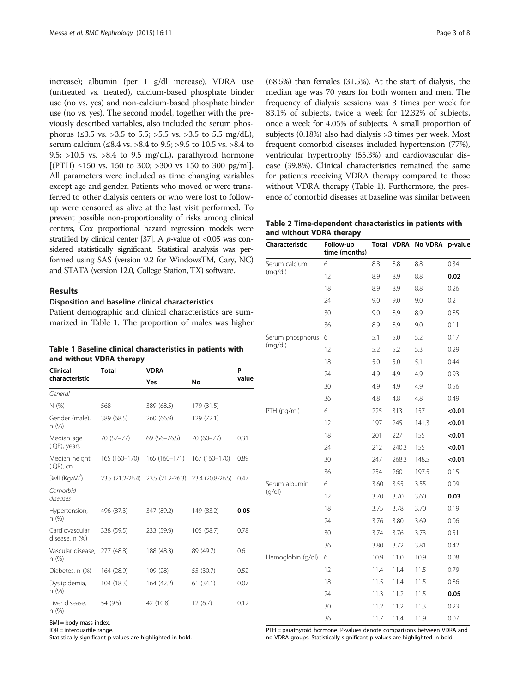<span id="page-2-0"></span>increase); albumin (per 1 g/dl increase), VDRA use (untreated vs. treated), calcium-based phosphate binder use (no vs. yes) and non-calcium-based phosphate binder use (no vs. yes). The second model, together with the previously described variables, also included the serum phosphorus (≤3.5 vs. >3.5 to 5.5; >5.5 vs. >3.5 to 5.5 mg/dL), serum calcium (≤8.4 vs. >8.4 to 9.5; >9.5 to 10.5 vs. >8.4 to 9.5;  $>10.5$  vs.  $>8.4$  to 9.5 mg/dL), parathyroid hormone  $[(PTH) \le 150 \text{ vs. } 150 \text{ to } 300; > 300 \text{ vs. } 150 \text{ to } 300 \text{ pg/ml}].$ All parameters were included as time changing variables except age and gender. Patients who moved or were transferred to other dialysis centers or who were lost to followup were censored as alive at the last visit performed. To prevent possible non-proportionality of risks among clinical centers, Cox proportional hazard regression models were stratified by clinical center [[37\]](#page-7-0). A  $p$ -value of <0.05 was considered statistically significant. Statistical analysis was performed using SAS (version 9.2 for WindowsTM, Cary, NC) and STATA (version 12.0, College Station, TX) software.

#### Results

#### Disposition and baseline clinical characteristics

Patient demographic and clinical characteristics are summarized in Table 1. The proportion of males was higher

|  |  |                          | Table 1 Baseline clinical characteristics in patients with |  |  |
|--|--|--------------------------|------------------------------------------------------------|--|--|
|  |  | and without VDRA therapy |                                                            |  |  |

| Clinical                         | <b>Total</b>  | <b>VDRA</b>                       | P-               |       |  |
|----------------------------------|---------------|-----------------------------------|------------------|-------|--|
| characteristic                   |               | Yes                               | No               | value |  |
| General                          |               |                                   |                  |       |  |
| N (%)                            | 568           | 389 (68.5)                        | 179 (31.5)       |       |  |
| Gender (male),<br>n(%)           | 389 (68.5)    | 260 (66.9)                        | 129 (72.1)       |       |  |
| Median age<br>(IQR), years       | 70 (57-77)    | 69 (56-76.5)                      | 70 (60-77)       | 0.31  |  |
| Median height<br>$IQR)$ , cn     | 165 (160-170) | 165 (160-171)                     | 167 (160-170)    | 0.89  |  |
| BMI $(Kg/M^2)$                   |               | 23.5 (21.2-26.4) 23.5 (21.2-26.3) | 23.4 (20.8-26.5) | 0.47  |  |
| Comorbid<br>diseases             |               |                                   |                  |       |  |
| Hypertension,<br>n(%)            | 496 (87.3)    | 347 (89.2)                        | 149 (83.2)       | 0.05  |  |
| Cardiovascular<br>disease, n (%) | 338 (59.5)    | 233 (59.9)                        | 105 (58.7)       | 0.78  |  |
| Vascular disease,<br>n(%)        | 277 (48.8)    | 188 (48.3)                        | 89 (49.7)        | 0.6   |  |
| Diabetes, n (%)                  | 164 (28.9)    | 109 (28)                          | 55 (30.7)        | 0.52  |  |
| Dyslipidemia,<br>n (%)           | 104 (18.3)    | 164 (42.2)                        | 61(34.1)         | 0.07  |  |
| Liver disease,<br>n(%)           | 54 (9.5)      | 42 (10.8)                         | 12(6.7)          | 0.12  |  |

BMI = body mass index.

IQR = interquartile range.

Statistically significant p-values are highlighted in bold.

(68.5%) than females (31.5%). At the start of dialysis, the median age was 70 years for both women and men. The frequency of dialysis sessions was 3 times per week for 83.1% of subjects, twice a week for 12.32% of subjects, once a week for 4.05% of subjects. A small proportion of subjects (0.18%) also had dialysis >3 times per week. Most frequent comorbid diseases included hypertension (77%), ventricular hypertrophy (55.3%) and cardiovascular disease (39.8%). Clinical characteristics remained the same for patients receiving VDRA therapy compared to those without VDRA therapy (Table 1). Furthermore, the presence of comorbid diseases at baseline was similar between

Table 2 Time-dependent characteristics in patients with and without VDRA therapy

| Characteristic    | Follow-up<br>time (months) | <b>Total</b> | <b>VDRA</b> | No VDRA | p-value |
|-------------------|----------------------------|--------------|-------------|---------|---------|
| Serum calcium     | 6                          | 8.8          | 8.8         | 8.8     | 0.34    |
| (mq/dl)           | 12                         | 8.9          | 8.9         | 8.8     | 0.02    |
|                   | 18                         | 8.9          | 8.9         | 8.8     | 0.26    |
|                   | 24                         | 9.0          | 9.0         | 9.0     | 0.2     |
|                   | 30                         | 9.0          | 8.9         | 8.9     | 0.85    |
|                   | 36                         | 8.9          | 8.9         | 9.0     | 0.11    |
| Serum phosphorus  | 6                          | 5.1          | 5.0         | 5.2     | 0.17    |
| (mg/dl)           | 12                         | 5.2          | 5.2         | 5.3     | 0.29    |
|                   | 18                         | 5.0          | 5.0         | 5.1     | 0.44    |
|                   | 24                         | 4.9          | 4.9         | 4.9     | 0.93    |
|                   | 30                         | 4.9          | 4.9         | 4.9     | 0.56    |
|                   | 36                         | 4.8          | 4.8         | 4.8     | 0.49    |
| PTH (pg/ml)       | 6                          | 225          | 313         | 157     | < 0.01  |
|                   | 12                         | 197          | 245         | 141.3   | < 0.01  |
|                   | 18                         | 201          | 227         | 155     | < 0.01  |
|                   | 24                         | 212          | 240.3       | 155     | < 0.01  |
|                   | 30                         | 247          | 268.3       | 148.5   | < 0.01  |
|                   | 36                         | 254          | 260         | 197.5   | 0.15    |
| Serum albumin     | 6                          | 3.60         | 3.55        | 3.55    | 0.09    |
| (q/d)             | 12                         | 3.70         | 3.70        | 3.60    | 0.03    |
|                   | 18                         | 3.75         | 3.78        | 3.70    | 0.19    |
|                   | 24                         | 3.76         | 3.80        | 3.69    | 0.06    |
|                   | 30                         | 3.74         | 3.76        | 3.73    | 0.51    |
|                   | 36                         | 3.80         | 3.72        | 3.81    | 0.42    |
| Hemoglobin (g/dl) | 6                          | 10.9         | 11.0        | 10.9    | 0.08    |
|                   | 12                         | 11.4         | 11.4        | 11.5    | 0.79    |
|                   | 18                         | 11.5         | 11.4        | 11.5    | 0.86    |
|                   | 24                         | 11.3         | 11.2        | 11.5    | 0.05    |
|                   | 30                         | 11.2         | 11.2        | 11.3    | 0.23    |
|                   | 36                         | 11.7         | 11.4        | 11.9    | 0.07    |

PTH = parathyroid hormone. P-values denote comparisons between VDRA and no VDRA groups. Statistically significant p-values are highlighted in bold.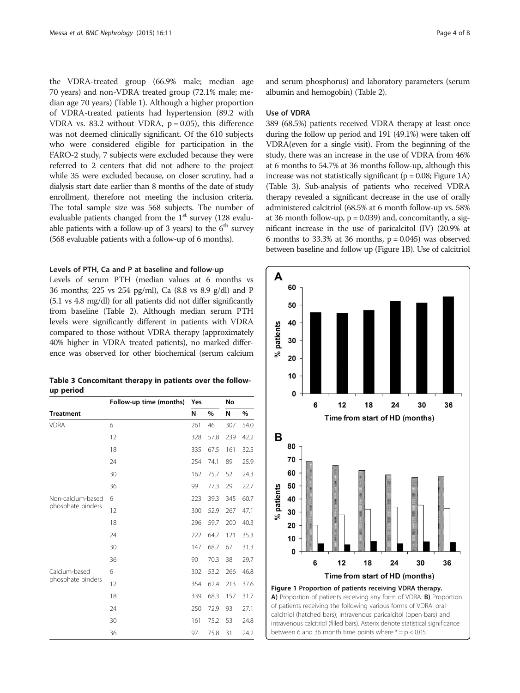<span id="page-3-0"></span>the VDRA-treated group (66.9% male; median age 70 years) and non-VDRA treated group (72.1% male; median age 70 years) (Table [1](#page-2-0)). Although a higher proportion of VDRA-treated patients had hypertension (89.2 with VDRA vs. 83.2 without VDRA,  $p = 0.05$ ), this difference was not deemed clinically significant. Of the 610 subjects who were considered eligible for participation in the FARO-2 study, 7 subjects were excluded because they were referred to 2 centers that did not adhere to the project while 35 were excluded because, on closer scrutiny, had a dialysis start date earlier than 8 months of the date of study enrollment, therefore not meeting the inclusion criteria. The total sample size was 568 subjects. The number of evaluable patients changed from the  $1<sup>st</sup>$  survey (128 evaluable patients with a follow-up of 3 years) to the  $6<sup>th</sup>$  survey (568 evaluable patients with a follow-up of 6 months).

#### Levels of PTH, Ca and P at baseline and follow-up

Levels of serum PTH (median values at 6 months vs 36 months; 225 vs 254 pg/ml), Ca (8.8 vs 8.9 g/dl) and P (5.1 vs 4.8 mg/dl) for all patients did not differ significantly from baseline (Table [2](#page-2-0)). Although median serum PTH levels were significantly different in patients with VDRA compared to those without VDRA therapy (approximately 40% higher in VDRA treated patients), no marked difference was observed for other biochemical (serum calcium

Table 3 Concomitant therapy in patients over the followup period

|                   | Follow-up time (months) | Yes |      | No  |      |
|-------------------|-------------------------|-----|------|-----|------|
| <b>Treatment</b>  |                         | N   | %    | N   | %    |
| <b>VDRA</b>       | 6                       | 261 | 46   | 307 | 54.0 |
|                   | 12                      | 328 | 57.8 | 239 | 42.2 |
|                   | 18                      | 335 | 67.5 | 161 | 32.5 |
|                   | 24                      | 254 | 74.1 | 89  | 25.9 |
|                   | 30                      | 162 | 75.7 | 52  | 24.3 |
|                   | 36                      | 99  | 77.3 | 29  | 22.7 |
| Non-calcium-based | 6                       | 223 | 39.3 | 345 | 60.7 |
| phosphate binders | 12                      | 300 | 52.9 | 267 | 47.1 |
|                   | 18                      | 296 | 59.7 | 200 | 40.3 |
|                   | 24                      | 222 | 64.7 | 121 | 35.3 |
|                   | 30                      | 147 | 68.7 | 67  | 31.3 |
|                   | 36                      | 90  | 70.3 | 38  | 29.7 |
| Calcium-based     | 6                       | 302 | 53.2 | 266 | 46.8 |
| phosphate binders | 12                      | 354 | 62.4 | 213 | 37.6 |
|                   | 18                      | 339 | 68.3 | 157 | 31.7 |
|                   | 24                      | 250 | 72.9 | 93  | 27.1 |
|                   | 30                      | 161 | 75.2 | 53  | 24.8 |
|                   | 36                      | 97  | 75.8 | 31  | 24.2 |

and serum phosphorus) and laboratory parameters (serum albumin and hemogobin) (Table [2](#page-2-0)).

### Use of VDRA

389 (68.5%) patients received VDRA therapy at least once during the follow up period and 191 (49.1%) were taken off VDRA(even for a single visit). From the beginning of the study, there was an increase in the use of VDRA from 46% at 6 months to 54.7% at 36 months follow-up, although this increase was not statistically significant ( $p = 0.08$ ; Figure 1A) (Table 3). Sub-analysis of patients who received VDRA therapy revealed a significant decrease in the use of orally administered calcitriol (68.5% at 6 month follow-up vs. 58% at 36 month follow-up,  $p = 0.039$ ) and, concomitantly, a significant increase in the use of paricalcitol (IV) (20.9% at 6 months to 33.3% at 36 months,  $p = 0.045$ ) was observed between baseline and follow up (Figure 1B). Use of calcitriol



between 6 and 36 month time points where  $* = p < 0.05$ .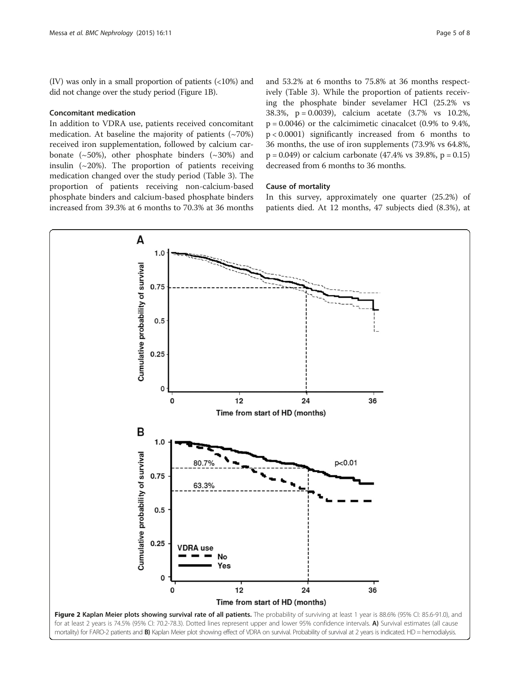<span id="page-4-0"></span>(IV) was only in a small proportion of patients (<10%) and did not change over the study period (Figure [1](#page-3-0)B).

#### Concomitant medication

In addition to VDRA use, patients received concomitant medication. At baseline the majority of patients  $({\sim}70%)$ received iron supplementation, followed by calcium carbonate  $({\sim}50\%)$ , other phosphate binders  $({\sim}30\%)$  and insulin  $({\sim}20\%)$ . The proportion of patients receiving medication changed over the study period (Table [3](#page-3-0)). The proportion of patients receiving non-calcium-based phosphate binders and calcium-based phosphate binders increased from 39.3% at 6 months to 70.3% at 36 months

and 53.2% at 6 months to 75.8% at 36 months respectively (Table [3\)](#page-3-0). While the proportion of patients receiving the phosphate binder sevelamer HCl (25.2% vs 38.3%, p = 0.0039), calcium acetate (3.7% vs 10.2%,  $p = 0.0046$ ) or the calcimimetic cinacalcet (0.9% to 9.4%, p < 0.0001) significantly increased from 6 months to 36 months, the use of iron supplements (73.9% vs 64.8%,  $p = 0.049$  or calcium carbonate (47.4% vs 39.8%,  $p = 0.15$ )

#### Cause of mortality

In this survey, approximately one quarter (25.2%) of patients died. At 12 months, 47 subjects died (8.3%), at

decreased from 6 months to 36 months.

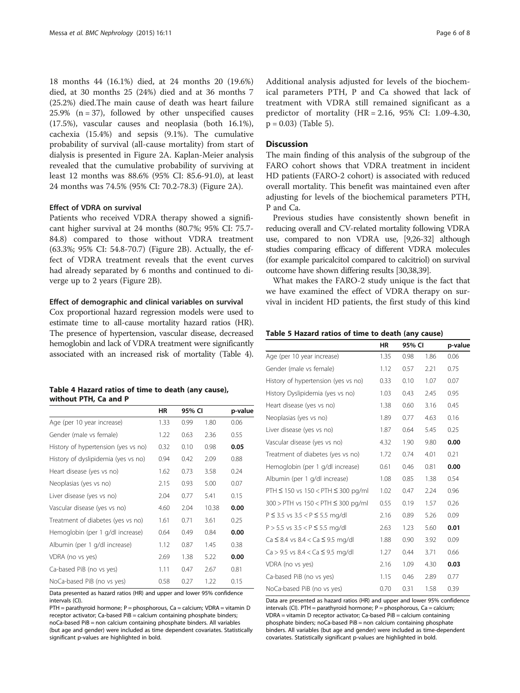18 months 44 (16.1%) died, at 24 months 20 (19.6%) died, at 30 months 25 (24%) died and at 36 months 7 (25.2%) died.The main cause of death was heart failure 25.9% ( $n = 37$ ), followed by other unspecified causes (17.5%), vascular causes and neoplasia (both 16.1%), cachexia (15.4%) and sepsis (9.1%). The cumulative probability of survival (all-cause mortality) from start of dialysis is presented in Figure [2](#page-4-0)A. Kaplan-Meier analysis revealed that the cumulative probability of surviving at least 12 months was 88.6% (95% CI: 85.6-91.0), at least 24 months was 74.5% (95% CI: 70.2-78.3) (Figure [2](#page-4-0)A).

#### Effect of VDRA on survival

Patients who received VDRA therapy showed a significant higher survival at 24 months (80.7%; 95% CI: 75.7- 84.8) compared to those without VDRA treatment (63.3%; 95% CI: 54.8-70.7) (Figure [2](#page-4-0)B). Actually, the effect of VDRA treatment reveals that the event curves had already separated by 6 months and continued to diverge up to 2 years (Figure [2](#page-4-0)B).

#### Effect of demographic and clinical variables on survival

Cox proportional hazard regression models were used to estimate time to all-cause mortality hazard ratios (HR). The presence of hypertension, vascular disease, decreased hemoglobin and lack of VDRA treatment were significantly associated with an increased risk of mortality (Table 4).

| Table 4 Hazard ratios of time to death (any cause), |  |  |
|-----------------------------------------------------|--|--|
| without PTH, Ca and P                               |  |  |

|                                     | <b>HR</b> | 95% CI |       | p-value |
|-------------------------------------|-----------|--------|-------|---------|
| Age (per 10 year increase)          | 1.33      | 0.99   | 1.80  | 0.06    |
| Gender (male vs female)             | 1.22      | 0.63   | 2.36  | 0.55    |
| History of hypertension (yes vs no) | 0.32      | 0.10   | 0.98  | 0.05    |
| History of dyslipidemia (yes vs no) | 0.94      | 0.42   | 2.09  | 0.88    |
| Heart disease (yes vs no)           | 1.62      | 0.73   | 3.58  | 0.24    |
| Neoplasias (yes vs no)              | 2.15      | 0.93   | 5.00  | 0.07    |
| Liver disease (yes vs no)           | 2.04      | 0.77   | 5.41  | 0.15    |
| Vascular disease (yes vs no)        | 4.60      | 2.04   | 10.38 | 0.00    |
| Treatment of diabetes (yes vs no)   | 1.61      | 0.71   | 3.61  | 0.25    |
| Hemoglobin (per 1 g/dl increase)    | 0.64      | 0.49   | 0.84  | 0.00    |
| Albumin (per 1 g/dl increase)       | 1.12      | 0.87   | 1.45  | 0.38    |
| VDRA (no vs yes)                    | 2.69      | 1.38   | 5.22  | 0.00    |
| Ca-based PiB (no vs yes)            | 1.11      | 0.47   | 2.67  | 0.81    |
| NoCa-based PiB (no vs yes)          | 0.58      | 0.27   | 1.22  | 0.15    |

Data presented as hazard ratios (HR) and upper and lower 95% confidence intervals (CI).

 $PTH =$  parathyroid hormone;  $P =$  phosphorous,  $Ca =$  calcium;  $VDRA =$  vitamin D receptor activator; Ca-based PiB = calcium containing phosphate binders; noCa-based PiB = non calcium containing phosphate binders. All variables (but age and gender) were included as time dependent covariates. Statistically significant p-values are highlighted in bold.

Additional analysis adjusted for levels of the biochemical parameters PTH, P and Ca showed that lack of treatment with VDRA still remained significant as a predictor of mortality (HR = 2.16, 95% CI: 1.09-4.30,  $p = 0.03$ ) (Table 5).

#### **Discussion**

The main finding of this analysis of the subgroup of the FARO cohort shows that VDRA treatment in incident HD patients (FARO-2 cohort) is associated with reduced overall mortality. This benefit was maintained even after adjusting for levels of the biochemical parameters PTH, P and Ca.

Previous studies have consistently shown benefit in reducing overall and CV-related mortality following VDRA use, compared to non VDRA use, [[9,26-32](#page-7-0)] although studies comparing efficacy of different VDRA molecules (for example paricalcitol compared to calcitriol) on survival outcome have shown differing results [[30,38,39\]](#page-7-0).

What makes the FARO-2 study unique is the fact that we have examined the effect of VDRA therapy on survival in incident HD patients, the first study of this kind

#### Table 5 Hazard ratios of time to death (any cause)

|                                             | ΗR   | 95% CI |      | p-value |  |
|---------------------------------------------|------|--------|------|---------|--|
| Age (per 10 year increase)                  | 1.35 | 0.98   | 1.86 | 0.06    |  |
| Gender (male vs female)                     | 1.12 | 0.57   | 2.21 | 0.75    |  |
| History of hypertension (yes vs no)         | 0.33 | 0.10   | 1.07 | 0.07    |  |
| History Dyslipidemia (yes vs no)            | 1.03 | 0.43   | 2.45 | 0.95    |  |
| Heart disease (yes vs no)                   | 1.38 | 0.60   | 3.16 | 0.45    |  |
| Neoplasias (yes vs no)                      | 1.89 | 0.77   | 4.63 | 0.16    |  |
| Liver disease (yes vs no)                   | 1.87 | 0.64   | 5.45 | 0.25    |  |
| Vascular disease (yes vs no)                | 4.32 | 1.90   | 9.80 | 0.00    |  |
| Treatment of diabetes (yes vs no)           | 1.72 | 0.74   | 4.01 | 0.21    |  |
| Hemoglobin (per 1 g/dl increase)            | 0.61 | 0.46   | 0.81 | 0.00    |  |
| Albumin (per 1 g/dl increase)               | 1.08 | 0.85   | 1.38 | 0.54    |  |
| PTH ≤ 150 vs 150 < PTH ≤ 300 pg/ml          | 1.02 | 0.47   | 2.24 | 0.96    |  |
| $300 >$ PTH vs $150 <$ PTH $\leq 300$ pg/ml | 0.55 | 0.19   | 1.57 | 0.26    |  |
| $P \le 3.5$ vs $3.5 < P \le 5.5$ mg/dl      | 2.16 | 0.89   | 5.26 | 0.09    |  |
| $P > 5.5$ vs $3.5 < P \le 5.5$ mg/dl        | 2.63 | 1.23   | 5.60 | 0.01    |  |
| $Ca \leq 8.4$ vs $8.4 < Ca \leq 9.5$ mg/dl  | 1.88 | 0.90   | 3.92 | 0.09    |  |
| $Ca > 9.5$ vs $8.4 < Ca \leq 9.5$ mg/dl     | 1.27 | 0.44   | 3.71 | 0.66    |  |
| VDRA (no vs yes)                            | 2.16 | 1.09   | 4.30 | 0.03    |  |
| Ca-based PiB (no vs yes)                    | 1.15 | 0.46   | 2.89 | 0.77    |  |
| NoCa-based PiB (no vs yes)                  | 0.70 | 0.31   | 1.58 | 0.39    |  |

Data are presented as hazard ratios (HR) and upper and lower 95% confidence intervals (CI).  $PTH =$  parathyroid hormone:  $P =$  phosphorous,  $Ca =$  calcium: VDRA = vitamin D receptor activator; Ca-based PiB = calcium containing phosphate binders; noCa-based PiB = non calcium containing phosphate binders. All variables (but age and gender) were included as time-dependent covariates. Statistically significant p-values are highlighted in bold.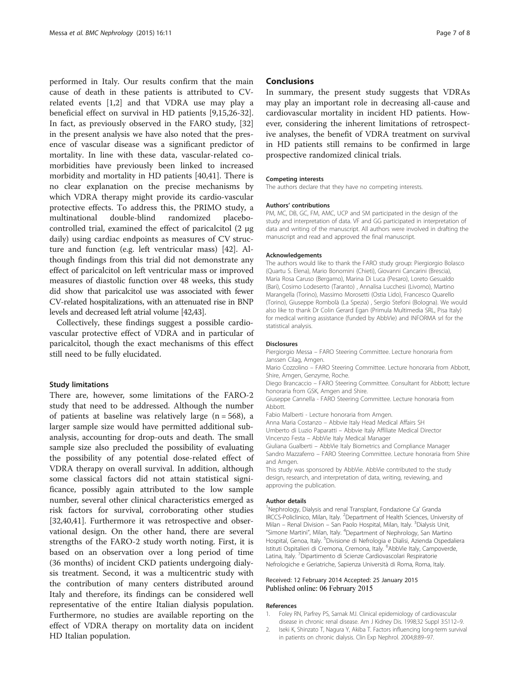<span id="page-6-0"></span>performed in Italy. Our results confirm that the main cause of death in these patients is attributed to CVrelated events [1,2] and that VDRA use may play a beneficial effect on survival in HD patients [[9,15,26-32](#page-7-0)]. In fact, as previously observed in the FARO study, [[32](#page-7-0)] in the present analysis we have also noted that the presence of vascular disease was a significant predictor of mortality. In line with these data, vascular-related comorbidities have previously been linked to increased morbidity and mortality in HD patients [\[40,41](#page-7-0)]. There is no clear explanation on the precise mechanisms by which VDRA therapy might provide its cardio-vascular protective effects. To address this, the PRIMO study, a multinational double-blind randomized placebocontrolled trial, examined the effect of paricalcitol (2 μg daily) using cardiac endpoints as measures of CV structure and function (e.g. left ventricular mass) [\[42](#page-7-0)]. Although findings from this trial did not demonstrate any effect of paricalcitol on left ventricular mass or improved measures of diastolic function over 48 weeks, this study did show that paricalcitol use was associated with fewer CV-related hospitalizations, with an attenuated rise in BNP levels and decreased left atrial volume [\[42,43](#page-7-0)].

Collectively, these findings suggest a possible cardiovascular protective effect of VDRA and in particular of paricalcitol, though the exact mechanisms of this effect still need to be fully elucidated.

#### Study limitations

There are, however, some limitations of the FARO-2 study that need to be addressed. Although the number of patients at baseline was relatively large  $(n = 568)$ , a larger sample size would have permitted additional subanalysis, accounting for drop-outs and death. The small sample size also precluded the possibility of evaluating the possibility of any potential dose-related effect of VDRA therapy on overall survival. In addition, although some classical factors did not attain statistical significance, possibly again attributed to the low sample number, several other clinical characteristics emerged as risk factors for survival, corroborating other studies [[32,40,41\]](#page-7-0). Furthermore it was retrospective and observational design. On the other hand, there are several strengths of the FARO-2 study worth noting. First, it is based on an observation over a long period of time (36 months) of incident CKD patients undergoing dialysis treatment. Second, it was a multicentric study with the contribution of many centers distributed around Italy and therefore, its findings can be considered well representative of the entire Italian dialysis population. Furthermore, no studies are available reporting on the effect of VDRA therapy on mortality data on incident HD Italian population.

#### Conclusions

In summary, the present study suggests that VDRAs may play an important role in decreasing all-cause and cardiovascular mortality in incident HD patients. However, considering the inherent limitations of retrospective analyses, the benefit of VDRA treatment on survival in HD patients still remains to be confirmed in large prospective randomized clinical trials.

#### Competing interests

The authors declare that they have no competing interests.

#### Authors' contributions

PM, MC, DB, GC, FM, AMC, UCP and SM participated in the design of the study and interpretation of data. VF and GG participated in interpretation of data and writing of the manuscript. All authors were involved in drafting the manuscript and read and approved the final manuscript.

#### Acknowledgements

The authors would like to thank the FARO study group: Piergiorgio Bolasco (Quartu S. Elena), Mario Bonomini (Chieti), Giovanni Cancarini (Brescia), Maria Rosa Caruso (Bergamo), Marina Di Luca (Pesaro), Loreto Gesualdo (Bari), Cosimo Lodeserto (Taranto) , Annalisa Lucchesi (Livorno), Martino Marangella (Torino), Massimo Morosetti (Ostia Lido), Francesco Quarello (Torino), Giuseppe Rombolà (La Spezia) , Sergio Stefoni (Bologna). We would also like to thank Dr Colin Gerard Egan (Primula Multimedia SRL, Pisa Italy) for medical writing assistance (funded by AbbVie) and INFORMA srl for the statistical analysis.

#### Disclosures

Piergiorgio Messa – FARO Steering Committee. Lecture honoraria from Janssen Cilag, Amgen.

Mario Cozzolino – FARO Steering Committee. Lecture honoraria from Abbott, Shire, Amgen, Genzyme, Roche.

Diego Brancaccio – FARO Steering Committee. Consultant for Abbott; lecture honoraria from GSK, Amgen and Shire.

Giuseppe Cannella - FARO Steering Committee. Lecture honoraria from Abbott.

Fabio Malberti - Lecture honoraria from Amgen.

Anna Maria Costanzo – Abbvie Italy Head Medical Affairs SH Umberto di Luzio Paparatti – Abbvie Italy Affiliate Medical Director Vincenzo Festa – AbbVie Italy Medical Manager

Giuliana Gualberti – AbbVie Italy Biometrics and Compliance Manager Sandro Mazzaferro – FARO Steering Committee. Lecture honoraria from Shire and Amgen.

This study was sponsored by AbbVie. AbbVie contributed to the study design, research, and interpretation of data, writing, reviewing, and approving the publication.

#### Author details

<sup>1</sup>Nephrology, Dialysis and renal Transplant, Fondazione Ca' Granda IRCCS-Policlinico, Milan, Italy. <sup>2</sup>Department of Health Sciences, University of Milan - Renal Division - San Paolo Hospital, Milan, Italy. <sup>3</sup>Dialysis Unit, "Simone Martini", Milan, Italy. <sup>4</sup> Department of Nephrology, San Martino Hospital, Genoa, Italy. <sup>5</sup> Divisione di Nefrologia e Dialisi, Azienda Ospedaliera Istituti Ospitalieri di Cremona, Cremona, Italy. <sup>6</sup>AbbVie Italy, Campoverde, Latina, Italy. <sup>7</sup>Dipartimento di Scienze Cardiovascolari Respiratorie Nefrologiche e Geriatriche, Sapienza Università di Roma, Roma, Italy.

#### Received: 12 February 2014 Accepted: 25 January 2015 Published online: 06 February 2015

#### References

- 1. Foley RN, Parfrey PS, Sarnak MJ. Clinical epidemiology of cardiovascular disease in chronic renal disease. Am J Kidney Dis. 1998;32 Suppl 3:S112–9.
- 2. Iseki K, Shinzato T, Nagura Y, Akiba T. Factors influencing long-term survival in patients on chronic dialysis. Clin Exp Nephrol. 2004;8:89–97.